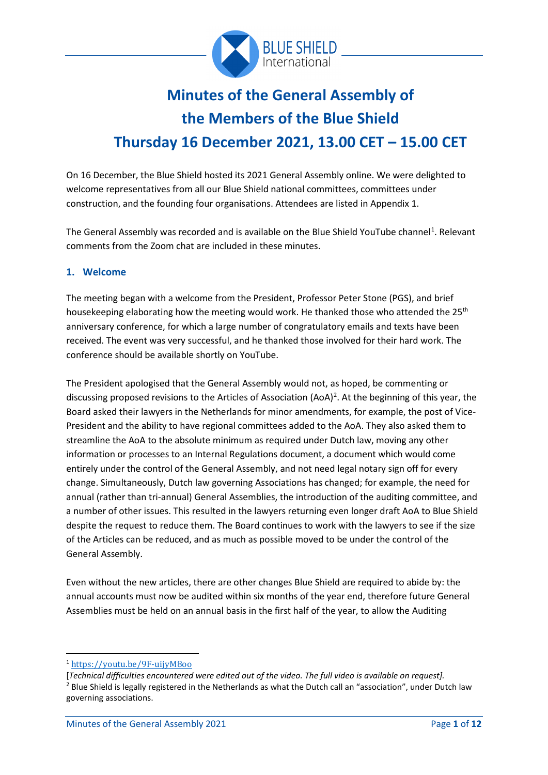

# **Minutes of the General Assembly of the Members of the Blue Shield Thursday 16 December 2021, 13.00 CET – 15.00 CET**

On 16 December, the Blue Shield hosted its 2021 General Assembly online. We were delighted to welcome representatives from all our Blue Shield national committees, committees under construction, and the founding four organisations. Attendees are listed in Appendix 1.

The General Assembly was recorded and is available on the Blue Shield YouTube channel<sup>[1](#page-0-0)</sup>. Relevant comments from the Zoom chat are included in these minutes.

#### **1. Welcome**

The meeting began with a welcome from the President, Professor Peter Stone (PGS), and brief housekeeping elaborating how the meeting would work. He thanked those who attended the 25<sup>th</sup> anniversary conference, for which a large number of congratulatory emails and texts have been received. The event was very successful, and he thanked those involved for their hard work. The conference should be available shortly on YouTube.

The President apologised that the General Assembly would not, as hoped, be commenting or discussing proposed revisions to the Articles of Association (AoA)<sup>[2](#page-0-1)</sup>. At the beginning of this year, the Board asked their lawyers in the Netherlands for minor amendments, for example, the post of Vice-President and the ability to have regional committees added to the AoA. They also asked them to streamline the AoA to the absolute minimum as required under Dutch law, moving any other information or processes to an Internal Regulations document, a document which would come entirely under the control of the General Assembly, and not need legal notary sign off for every change. Simultaneously, Dutch law governing Associations has changed; for example, the need for annual (rather than tri-annual) General Assemblies, the introduction of the auditing committee, and a number of other issues. This resulted in the lawyers returning even longer draft AoA to Blue Shield despite the request to reduce them. The Board continues to work with the lawyers to see if the size of the Articles can be reduced, and as much as possible moved to be under the control of the General Assembly.

Even without the new articles, there are other changes Blue Shield are required to abide by: the annual accounts must now be audited within six months of the year end, therefore future General Assemblies must be held on an annual basis in the first half of the year, to allow the Auditing

<span id="page-0-0"></span><sup>1</sup> <https://youtu.be/9F-uijyM8oo>

<span id="page-0-1"></span><sup>[</sup>*Technical difficulties encountered were edited out of the video. The full video is available on request].* <sup>2</sup> Blue Shield is legally registered in the Netherlands as what the Dutch call an "association", under Dutch law governing associations.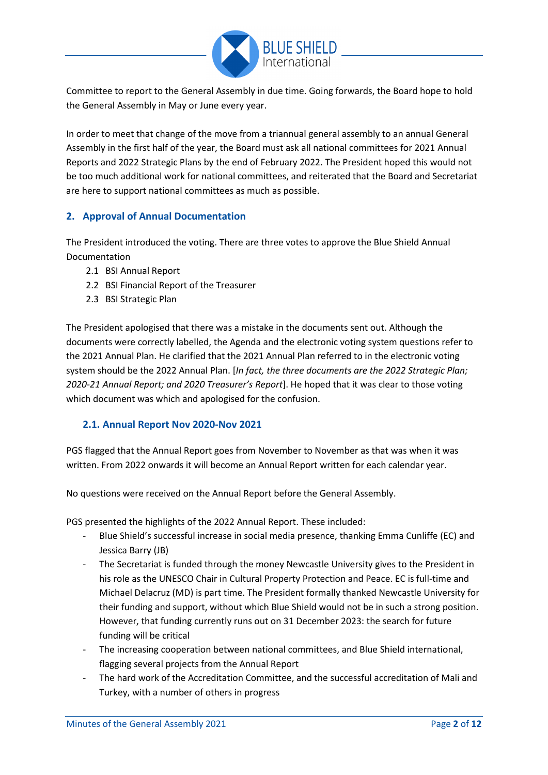

Committee to report to the General Assembly in due time. Going forwards, the Board hope to hold the General Assembly in May or June every year.

In order to meet that change of the move from a triannual general assembly to an annual General Assembly in the first half of the year, the Board must ask all national committees for 2021 Annual Reports and 2022 Strategic Plans by the end of February 2022. The President hoped this would not be too much additional work for national committees, and reiterated that the Board and Secretariat are here to support national committees as much as possible.

#### **2. Approval of Annual Documentation**

The President introduced the voting. There are three votes to approve the Blue Shield Annual Documentation

- 2.1 BSI Annual Report
- 2.2 BSI Financial Report of the Treasurer
- 2.3 BSI Strategic Plan

The President apologised that there was a mistake in the documents sent out. Although the documents were correctly labelled, the Agenda and the electronic voting system questions refer to the 2021 Annual Plan. He clarified that the 2021 Annual Plan referred to in the electronic voting system should be the 2022 Annual Plan. [*In fact, the three documents are the 2022 Strategic Plan; 2020-21 Annual Report; and 2020 Treasurer's Report*]. He hoped that it was clear to those voting which document was which and apologised for the confusion.

# **2.1. Annual Report Nov 2020-Nov 2021**

PGS flagged that the Annual Report goes from November to November as that was when it was written. From 2022 onwards it will become an Annual Report written for each calendar year.

No questions were received on the Annual Report before the General Assembly.

PGS presented the highlights of the 2022 Annual Report. These included:

- Blue Shield's successful increase in social media presence, thanking Emma Cunliffe (EC) and Jessica Barry (JB)
- The Secretariat is funded through the money Newcastle University gives to the President in his role as the UNESCO Chair in Cultural Property Protection and Peace. EC is full-time and Michael Delacruz (MD) is part time. The President formally thanked Newcastle University for their funding and support, without which Blue Shield would not be in such a strong position. However, that funding currently runs out on 31 December 2023: the search for future funding will be critical
- The increasing cooperation between national committees, and Blue Shield international, flagging several projects from the Annual Report
- The hard work of the Accreditation Committee, and the successful accreditation of Mali and Turkey, with a number of others in progress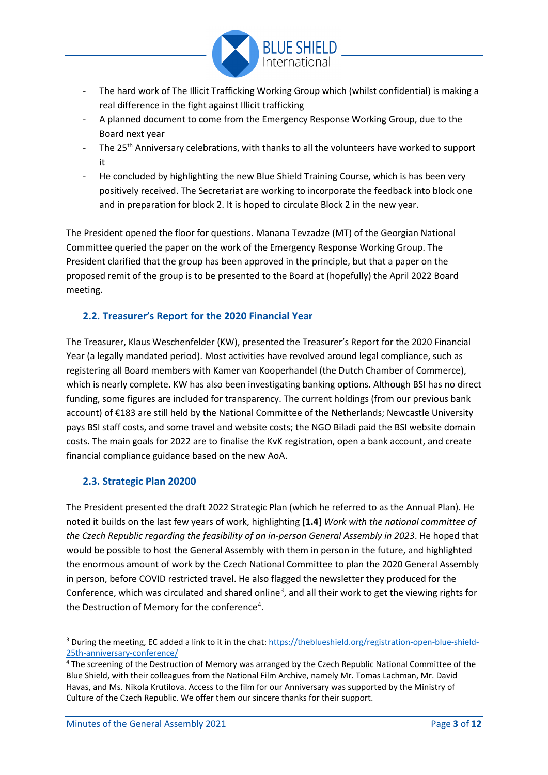

- The hard work of The Illicit Trafficking Working Group which (whilst confidential) is making a real difference in the fight against Illicit trafficking
- A planned document to come from the Emergency Response Working Group, due to the Board next year
- The 25<sup>th</sup> Anniversary celebrations, with thanks to all the volunteers have worked to support it
- He concluded by highlighting the new Blue Shield Training Course, which is has been very positively received. The Secretariat are working to incorporate the feedback into block one and in preparation for block 2. It is hoped to circulate Block 2 in the new year.

The President opened the floor for questions. Manana Tevzadze (MT) of the Georgian National Committee queried the paper on the work of the Emergency Response Working Group. The President clarified that the group has been approved in the principle, but that a paper on the proposed remit of the group is to be presented to the Board at (hopefully) the April 2022 Board meeting.

# **2.2. Treasurer's Report for the 2020 Financial Year**

The Treasurer, Klaus Weschenfelder (KW), presented the Treasurer's Report for the 2020 Financial Year (a legally mandated period). Most activities have revolved around legal compliance, such as registering all Board members with Kamer van Kooperhandel (the Dutch Chamber of Commerce), which is nearly complete. KW has also been investigating banking options. Although BSI has no direct funding, some figures are included for transparency. The current holdings (from our previous bank account) of €183 are still held by the National Committee of the Netherlands; Newcastle University pays BSI staff costs, and some travel and website costs; the NGO Biladi paid the BSI website domain costs. The main goals for 2022 are to finalise the KvK registration, open a bank account, and create financial compliance guidance based on the new AoA.

# **2.3. Strategic Plan 20200**

The President presented the draft 2022 Strategic Plan (which he referred to as the Annual Plan). He noted it builds on the last few years of work, highlighting **[1.4]** *Work with the national committee of the Czech Republic regarding the feasibility of an in-person General Assembly in 2023*. He hoped that would be possible to host the General Assembly with them in person in the future, and highlighted the enormous amount of work by the Czech National Committee to plan the 2020 General Assembly in person, before COVID restricted travel. He also flagged the newsletter they produced for the Conference, which was circulated and shared online<sup>[3](#page-2-0)</sup>, and all their work to get the viewing rights for the Destruction of Memory for the conference<sup>[4](#page-2-1)</sup>.

<span id="page-2-0"></span><sup>&</sup>lt;sup>3</sup> During the meeting, EC added a link to it in the chat: [https://theblueshield.org/registration-open-blue-shield-](https://theblueshield.org/registration-open-blue-shield-25th-anniversary-conference/)[25th-anniversary-conference/](https://theblueshield.org/registration-open-blue-shield-25th-anniversary-conference/)

<span id="page-2-1"></span><sup>&</sup>lt;sup>4</sup> The screening of the Destruction of Memory was arranged by the Czech Republic National Committee of the Blue Shield, with their colleagues from the National Film Archive, namely Mr. Tomas Lachman, Mr. David Havas, and Ms. Nikola Krutilova. Access to the film for our Anniversary was supported by the Ministry of Culture of the Czech Republic. We offer them our sincere thanks for their support.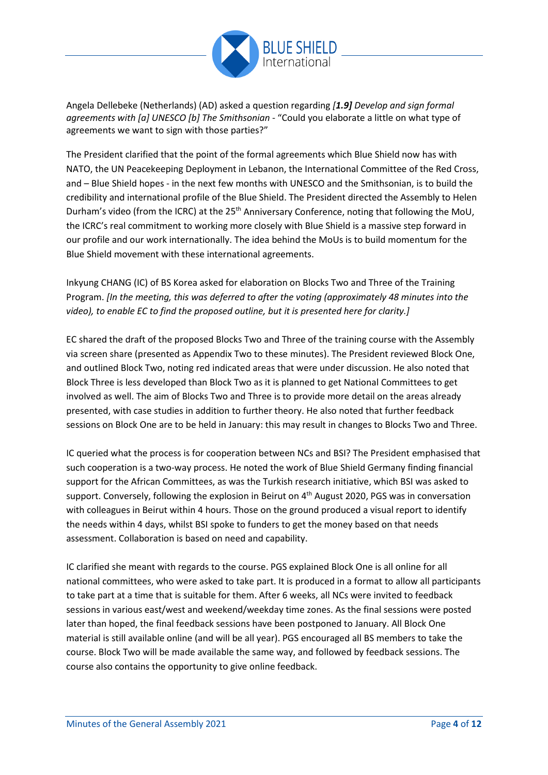

Angela Dellebeke (Netherlands) (AD) asked a question regarding *[1.9] Develop and sign formal agreements with [a] UNESCO [b] The Smithsonian* - "Could you elaborate a little on what type of agreements we want to sign with those parties?"

The President clarified that the point of the formal agreements which Blue Shield now has with NATO, the UN Peacekeeping Deployment in Lebanon, the International Committee of the Red Cross, and – Blue Shield hopes - in the next few months with UNESCO and the Smithsonian, is to build the credibility and international profile of the Blue Shield. The President directed the Assembly to Helen Durham's video (from the ICRC) at the 25<sup>th</sup> Anniversary Conference, noting that following the MoU, the ICRC's real commitment to working more closely with Blue Shield is a massive step forward in our profile and our work internationally. The idea behind the MoUs is to build momentum for the Blue Shield movement with these international agreements.

Inkyung CHANG (IC) of BS Korea asked for elaboration on Blocks Two and Three of the Training Program. *[In the meeting, this was deferred to after the voting (approximately 48 minutes into the video), to enable EC to find the proposed outline, but it is presented here for clarity.]*

EC shared the draft of the proposed Blocks Two and Three of the training course with the Assembly via screen share (presented as Appendix Two to these minutes). The President reviewed Block One, and outlined Block Two, noting red indicated areas that were under discussion. He also noted that Block Three is less developed than Block Two as it is planned to get National Committees to get involved as well. The aim of Blocks Two and Three is to provide more detail on the areas already presented, with case studies in addition to further theory. He also noted that further feedback sessions on Block One are to be held in January: this may result in changes to Blocks Two and Three.

IC queried what the process is for cooperation between NCs and BSI? The President emphasised that such cooperation is a two-way process. He noted the work of Blue Shield Germany finding financial support for the African Committees, as was the Turkish research initiative, which BSI was asked to support. Conversely, following the explosion in Beirut on 4<sup>th</sup> August 2020, PGS was in conversation with colleagues in Beirut within 4 hours. Those on the ground produced a visual report to identify the needs within 4 days, whilst BSI spoke to funders to get the money based on that needs assessment. Collaboration is based on need and capability.

IC clarified she meant with regards to the course. PGS explained Block One is all online for all national committees, who were asked to take part. It is produced in a format to allow all participants to take part at a time that is suitable for them. After 6 weeks, all NCs were invited to feedback sessions in various east/west and weekend/weekday time zones. As the final sessions were posted later than hoped, the final feedback sessions have been postponed to January. All Block One material is still available online (and will be all year). PGS encouraged all BS members to take the course. Block Two will be made available the same way, and followed by feedback sessions. The course also contains the opportunity to give online feedback.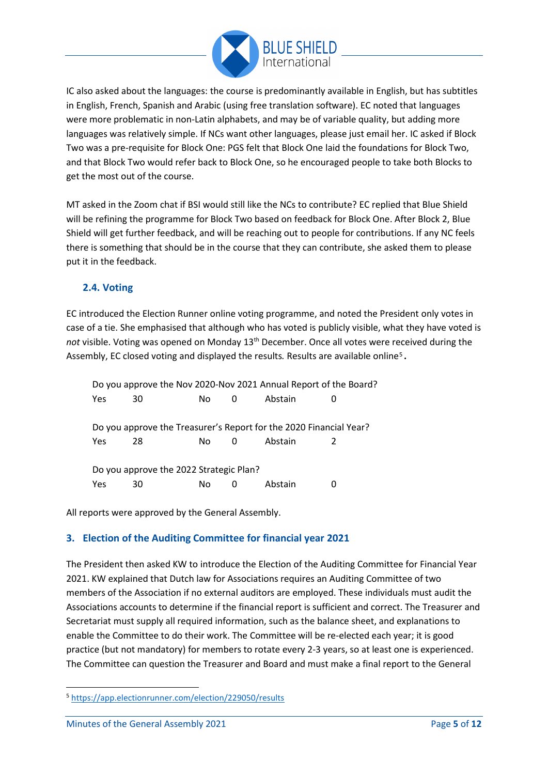

IC also asked about the languages: the course is predominantly available in English, but has subtitles in English, French, Spanish and Arabic (using free translation software). EC noted that languages were more problematic in non-Latin alphabets, and may be of variable quality, but adding more languages was relatively simple. If NCs want other languages, please just email her. IC asked if Block Two was a pre-requisite for Block One: PGS felt that Block One laid the foundations for Block Two, and that Block Two would refer back to Block One, so he encouraged people to take both Blocks to get the most out of the course.

MT asked in the Zoom chat if BSI would still like the NCs to contribute? EC replied that Blue Shield will be refining the programme for Block Two based on feedback for Block One. After Block 2, Blue Shield will get further feedback, and will be reaching out to people for contributions. If any NC feels there is something that should be in the course that they can contribute, she asked them to please put it in the feedback.

# **2.4. Voting**

EC introduced the Election Runner online voting programme, and noted the President only votes in case of a tie. She emphasised that although who has voted is publicly visible, what they have voted is not visible. Voting was opened on Monday 13<sup>th</sup> December. Once all votes were received during the Assembly, EC closed voting and displayed the results. Results are available online<sup>5</sup>.

Do you approve the Nov 2020-Nov 2021 Annual Report of the Board? Yes 30 No 0 Abstain 0 Do you approve the Treasurer's Report for the 2020 Financial Year? Yes 28 No 0 Abstain 2 Do you approve the 2022 Strategic Plan? Yes 30 No 0 Abstain 0

All reports were approved by the General Assembly.

# **3. Election of the Auditing Committee for financial year 2021**

The President then asked KW to introduce the Election of the Auditing Committee for Financial Year 2021. KW explained that Dutch law for Associations requires an Auditing Committee of two members of the Association if no external auditors are employed. These individuals must audit the Associations accounts to determine if the financial report is sufficient and correct. The Treasurer and Secretariat must supply all required information, such as the balance sheet, and explanations to enable the Committee to do their work. The Committee will be re-elected each year; it is good practice (but not mandatory) for members to rotate every 2-3 years, so at least one is experienced. The Committee can question the Treasurer and Board and must make a final report to the General

<span id="page-4-0"></span><sup>5</sup> <https://app.electionrunner.com/election/229050/results>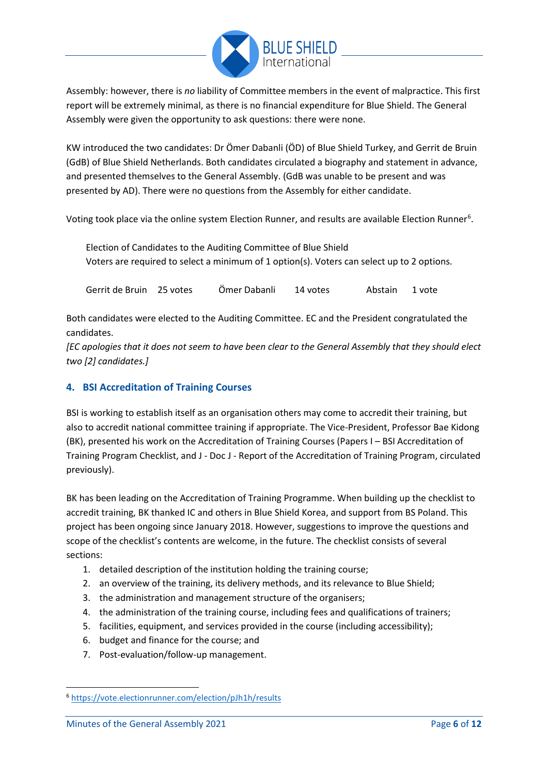

Assembly: however, there is *no* liability of Committee members in the event of malpractice. This first report will be extremely minimal, as there is no financial expenditure for Blue Shield. The General Assembly were given the opportunity to ask questions: there were none.

KW introduced the two candidates: Dr Ömer Dabanli (ÖD) of Blue Shield Turkey, and Gerrit de Bruin (GdB) of Blue Shield Netherlands. Both candidates circulated a biography and statement in advance, and presented themselves to the General Assembly. (GdB was unable to be present and was presented by AD). There were no questions from the Assembly for either candidate.

Voting took place via the online system [Election Runner](https://vote.electionrunner.com/election/f5OQ5/results), and results are available Election Runner<sup>[6](#page-5-0)</sup>.

Election of Candidates to the Auditing Committee of Blue Shield Voters are required to select a minimum of 1 option(s). Voters can select up to 2 options.

Gerrit de Bruin 25 votes Ömer Dabanli 14 votes Abstain 1 vote

Both candidates were elected to the Auditing Committee. EC and the President congratulated the candidates.

*[EC apologies that it does not seem to have been clear to the General Assembly that they should elect two [2] candidates.]*

#### **4. BSI Accreditation of Training Courses**

BSI is working to establish itself as an organisation others may come to accredit their training, but also to accredit national committee training if appropriate. The Vice-President, Professor Bae Kidong (BK), presented his work on the Accreditation of Training Courses (Papers I – BSI Accreditation of Training Program Checklist, and J - Doc J - Report of the Accreditation of Training Program, circulated previously).

BK has been leading on the Accreditation of Training Programme. When building up the checklist to accredit training, BK thanked IC and others in Blue Shield Korea, and support from BS Poland. This project has been ongoing since January 2018. However, suggestions to improve the questions and scope of the checklist's contents are welcome, in the future. The checklist consists of several sections:

- 1. detailed description of the institution holding the training course;
- 2. an overview of the training, its delivery methods, and its relevance to Blue Shield;
- 3. the administration and management structure of the organisers;
- 4. the administration of the training course, including fees and qualifications of trainers;
- 5. facilities, equipment, and services provided in the course (including accessibility);
- 6. budget and finance for the course; and
- 7. Post-evaluation/follow-up management.

<span id="page-5-0"></span><sup>6</sup> <https://vote.electionrunner.com/election/pJh1h/results>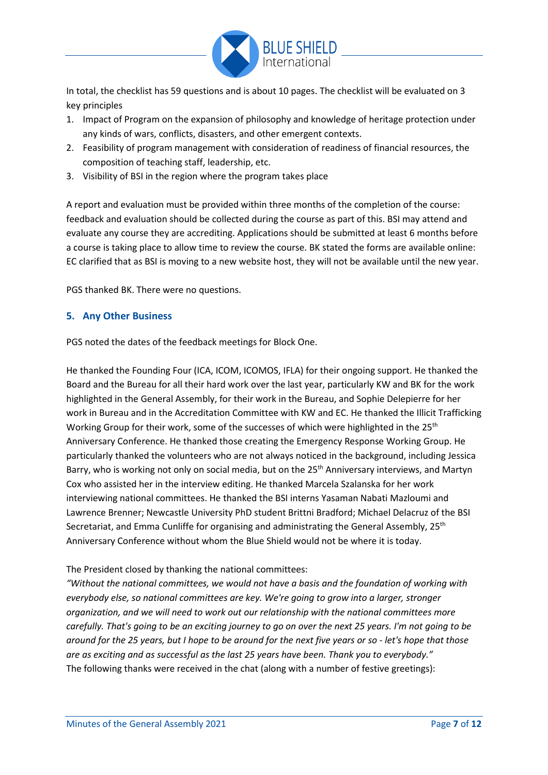

In total, the checklist has 59 questions and is about 10 pages. The checklist will be evaluated on 3 key principles

- 1. Impact of Program on the expansion of philosophy and knowledge of heritage protection under any kinds of wars, conflicts, disasters, and other emergent contexts.
- 2. Feasibility of program management with consideration of readiness of financial resources, the composition of teaching staff, leadership, etc.
- 3. Visibility of BSI in the region where the program takes place

A report and evaluation must be provided within three months of the completion of the course: feedback and evaluation should be collected during the course as part of this. BSI may attend and evaluate any course they are accrediting. Applications should be submitted at least 6 months before a course is taking place to allow time to review the course. BK stated the forms are available online: EC clarified that as BSI is moving to a new website host, they will not be available until the new year.

PGS thanked BK. There were no questions.

#### **5. Any Other Business**

PGS noted the dates of the feedback meetings for Block One.

He thanked the Founding Four (ICA, ICOM, ICOMOS, IFLA) for their ongoing support. He thanked the Board and the Bureau for all their hard work over the last year, particularly KW and BK for the work highlighted in the General Assembly, for their work in the Bureau, and Sophie Delepierre for her work in Bureau and in the Accreditation Committee with KW and EC. He thanked the Illicit Trafficking Working Group for their work, some of the successes of which were highlighted in the 25<sup>th</sup> Anniversary Conference. He thanked those creating the Emergency Response Working Group. He particularly thanked the volunteers who are not always noticed in the background, including Jessica Barry, who is working not only on social media, but on the 25<sup>th</sup> Anniversary interviews, and Martyn Cox who assisted her in the interview editing. He thanked Marcela Szalanska for her work interviewing national committees. He thanked the BSI interns Yasaman Nabati Mazloumi and Lawrence Brenner; Newcastle University PhD student Brittni Bradford; Michael Delacruz of the BSI Secretariat, and Emma Cunliffe for organising and administrating the General Assembly,  $25<sup>th</sup>$ Anniversary Conference without whom the Blue Shield would not be where it is today.

The President closed by thanking the national committees:

*"Without the national committees, we would not have a basis and the foundation of working with everybody else, so national committees are key. We're going to grow into a larger, stronger organization, and we will need to work out our relationship with the national committees more carefully. That's going to be an exciting journey to go on over the next 25 years. I'm not going to be around for the 25 years, but I hope to be around for the next five years or so - let's hope that those are as exciting and as successful as the last 25 years have been. Thank you to everybody."* The following thanks were received in the chat (along with a number of festive greetings):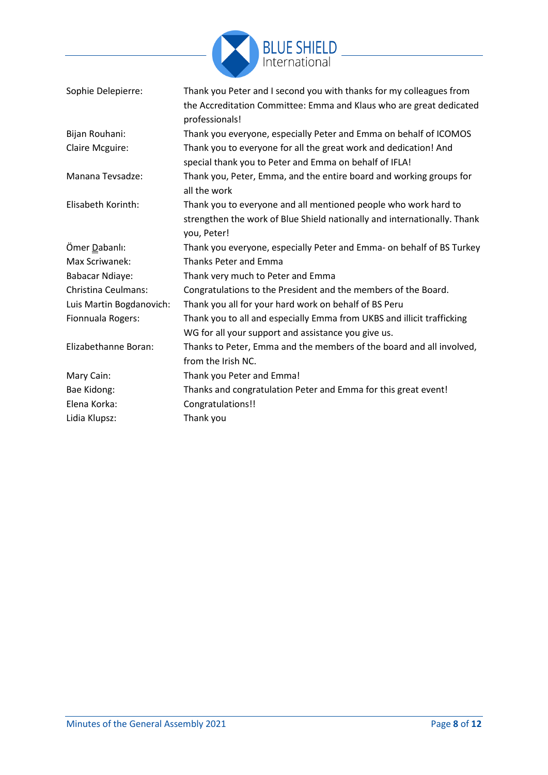

| Sophie Delepierre:         | Thank you Peter and I second you with thanks for my colleagues from<br>the Accreditation Committee: Emma and Klaus who are great dedicated<br>professionals! |
|----------------------------|--------------------------------------------------------------------------------------------------------------------------------------------------------------|
| Bijan Rouhani:             | Thank you everyone, especially Peter and Emma on behalf of ICOMOS                                                                                            |
| Claire Mcguire:            | Thank you to everyone for all the great work and dedication! And<br>special thank you to Peter and Emma on behalf of IFLA!                                   |
| Manana Tevsadze:           | Thank you, Peter, Emma, and the entire board and working groups for<br>all the work                                                                          |
| Elisabeth Korinth:         | Thank you to everyone and all mentioned people who work hard to<br>strengthen the work of Blue Shield nationally and internationally. Thank<br>you, Peter!   |
| Ömer Dabanlı:              | Thank you everyone, especially Peter and Emma- on behalf of BS Turkey                                                                                        |
| Max Scriwanek:             | <b>Thanks Peter and Emma</b>                                                                                                                                 |
| <b>Babacar Ndiaye:</b>     | Thank very much to Peter and Emma                                                                                                                            |
| <b>Christina Ceulmans:</b> | Congratulations to the President and the members of the Board.                                                                                               |
| Luis Martin Bogdanovich:   | Thank you all for your hard work on behalf of BS Peru                                                                                                        |
| Fionnuala Rogers:          | Thank you to all and especially Emma from UKBS and illicit trafficking<br>WG for all your support and assistance you give us.                                |
| Elizabethanne Boran:       | Thanks to Peter, Emma and the members of the board and all involved,<br>from the Irish NC.                                                                   |
| Mary Cain:                 | Thank you Peter and Emma!                                                                                                                                    |
| Bae Kidong:                | Thanks and congratulation Peter and Emma for this great event!                                                                                               |
| Elena Korka:               | Congratulations!!                                                                                                                                            |
| Lidia Klupsz:              | Thank you                                                                                                                                                    |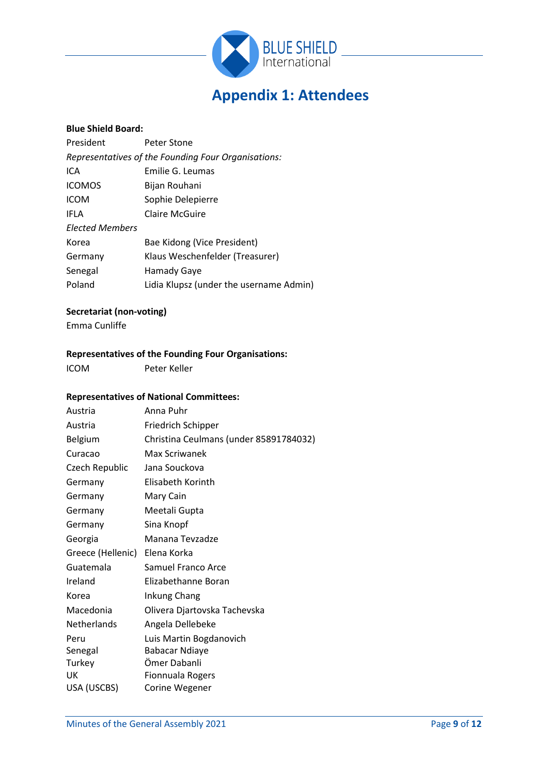

# **Appendix 1: Attendees**

#### **Blue Shield Board:**

| President                                           | Peter Stone                             |  |  |  |
|-----------------------------------------------------|-----------------------------------------|--|--|--|
| Representatives of the Founding Four Organisations: |                                         |  |  |  |
| ICA                                                 | Emilie G. Leumas                        |  |  |  |
| <b>ICOMOS</b>                                       | Bijan Rouhani                           |  |  |  |
| <b>ICOM</b>                                         | Sophie Delepierre                       |  |  |  |
| <b>IFLA</b>                                         | Claire McGuire                          |  |  |  |
| <b>Elected Members</b>                              |                                         |  |  |  |
| Korea                                               | Bae Kidong (Vice President)             |  |  |  |
| Germany                                             | Klaus Weschenfelder (Treasurer)         |  |  |  |
| Senegal                                             | Hamady Gaye                             |  |  |  |
| Poland                                              | Lidia Klupsz (under the username Admin) |  |  |  |

#### **Secretariat (non-voting)**

Emma Cunliffe

#### **Representatives of the Founding Four Organisations:**

ICOM Peter Keller

#### **Representatives of National Committees:**

| Austria            | Anna Puhr                              |
|--------------------|----------------------------------------|
| Austria            | Friedrich Schipper                     |
| Belgium            | Christina Ceulmans (under 85891784032) |
| Curacao            | Max Scriwanek                          |
| Czech Republic     | Jana Souckova                          |
| Germany            | Elisabeth Korinth                      |
| Germany            | Mary Cain                              |
| Germany            | Meetali Gupta                          |
| Germany            | Sina Knopf                             |
| Georgia            | Manana Tevzadze                        |
| Greece (Hellenic)  | Elena Korka                            |
| Guatemala          | Samuel Franco Arce                     |
| Ireland            | Elizabethanne Boran                    |
| Korea              | Inkung Chang                           |
| Macedonia          | Olivera Djartovska Tachevska           |
| <b>Netherlands</b> | Angela Dellebeke                       |
| Peru               | Luis Martin Bogdanovich                |
| Senegal            | <b>Babacar Ndiaye</b>                  |
| Turkey             | Ömer Dabanli                           |
| UK                 | <b>Fionnuala Rogers</b>                |
| USA (USCBS)        | Corine Wegener                         |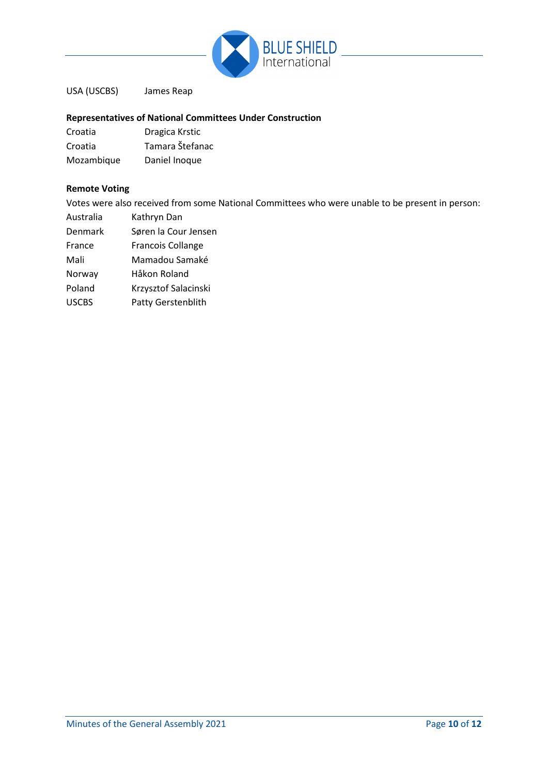

USA (USCBS) James Reap

#### **Representatives of National Committees Under Construction**

| Croatia    | Dragica Krstic  |
|------------|-----------------|
| Croatia    | Tamara Štefanac |
| Mozambique | Daniel Inoque   |

#### **Remote Voting**

Votes were also received from some National Committees who were unable to be present in person:

- Australia Kathryn Dan
- Denmark Søren la Cour Jensen
- France Francois Collange
- Mali Mamadou Samaké

Norway Håkon Roland

- Poland Krzysztof Salacinski
- USCBS Patty Gerstenblith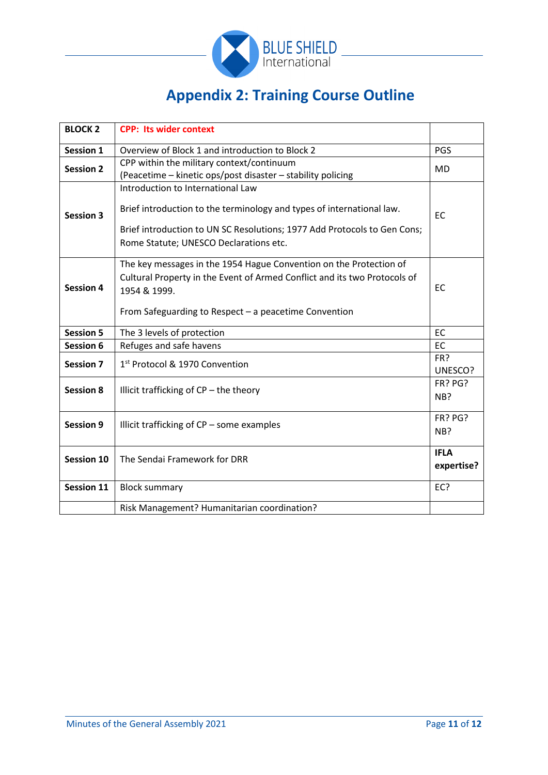

# **Appendix 2: Training Course Outline**

| <b>BLOCK 2</b>    | <b>CPP: Its wider context</b>                                                                                                                                                                                                    |                |
|-------------------|----------------------------------------------------------------------------------------------------------------------------------------------------------------------------------------------------------------------------------|----------------|
| <b>Session 1</b>  | Overview of Block 1 and introduction to Block 2                                                                                                                                                                                  |                |
| <b>Session 2</b>  | CPP within the military context/continuum<br>(Peacetime - kinetic ops/post disaster - stability policing                                                                                                                         |                |
| <b>Session 3</b>  | Introduction to International Law<br>Brief introduction to the terminology and types of international law.<br>Brief introduction to UN SC Resolutions; 1977 Add Protocols to Gen Cons;<br>Rome Statute; UNESCO Declarations etc. | <b>EC</b>      |
| <b>Session 4</b>  | The key messages in the 1954 Hague Convention on the Protection of<br>Cultural Property in the Event of Armed Conflict and its two Protocols of<br>1954 & 1999.<br>From Safeguarding to Respect - a peacetime Convention         |                |
| <b>Session 5</b>  | The 3 levels of protection                                                                                                                                                                                                       | EC             |
| Session 6         | Refuges and safe havens                                                                                                                                                                                                          | <b>EC</b>      |
| <b>Session 7</b>  | 1 <sup>st</sup> Protocol & 1970 Convention                                                                                                                                                                                       | FR?<br>UNESCO? |
| <b>Session 8</b>  | Illicit trafficking of CP - the theory                                                                                                                                                                                           |                |
| <b>Session 9</b>  | Illicit trafficking of CP - some examples                                                                                                                                                                                        |                |
| <b>Session 10</b> | The Sendai Framework for DRR                                                                                                                                                                                                     |                |
| <b>Session 11</b> | <b>Block summary</b>                                                                                                                                                                                                             | EC?            |
|                   | Risk Management? Humanitarian coordination?                                                                                                                                                                                      |                |